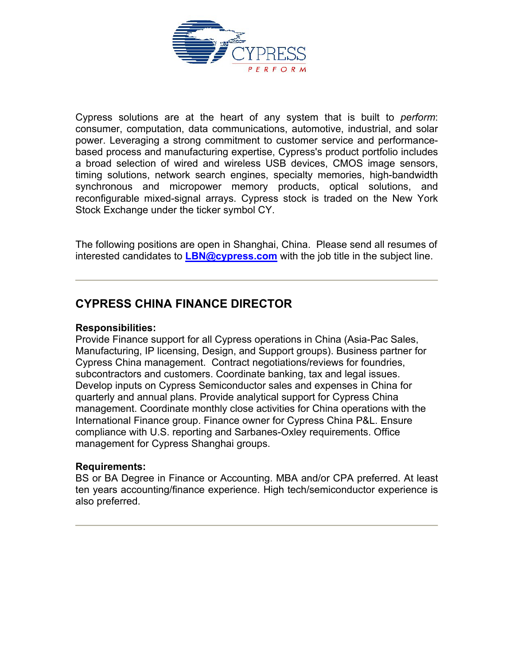

Cypress solutions are at the heart of any system that is built to *perform*: consumer, computation, data communications, automotive, industrial, and solar power. Leveraging a strong commitment to customer service and performancebased process and manufacturing expertise, Cypress's product portfolio includes a broad selection of wired and wireless USB devices, CMOS image sensors, timing solutions, network search engines, specialty memories, high-bandwidth synchronous and micropower memory products, optical solutions, and reconfigurable mixed-signal arrays. Cypress stock is traded on the New York Stock Exchange under the ticker symbol CY.

The following positions are open in Shanghai, China. Please send all resumes of interested candidates to **[LBN@cypress.com](mailto:LBN@cypress.com)** with the job title in the subject line.

## **CYPRESS CHINA FINANCE DIRECTOR**

#### **Responsibilities:**

Provide Finance support for all Cypress operations in China (Asia-Pac Sales, Manufacturing, IP licensing, Design, and Support groups). Business partner for Cypress China management. Contract negotiations/reviews for foundries, subcontractors and customers. Coordinate banking, tax and legal issues. Develop inputs on Cypress Semiconductor sales and expenses in China for quarterly and annual plans. Provide analytical support for Cypress China management. Coordinate monthly close activities for China operations with the International Finance group. Finance owner for Cypress China P&L. Ensure compliance with U.S. reporting and Sarbanes-Oxley requirements. Office management for Cypress Shanghai groups.

#### **Requirements:**

BS or BA Degree in Finance or Accounting. MBA and/or CPA preferred. At least ten years accounting/finance experience. High tech/semiconductor experience is also preferred.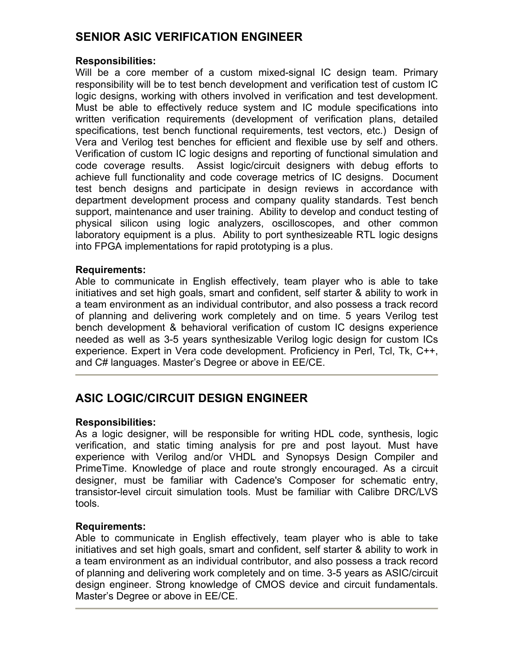## **SENIOR ASIC VERIFICATION ENGINEER**

## **Responsibilities:**

Will be a core member of a custom mixed-signal IC design team. Primary responsibility will be to test bench development and verification test of custom IC logic designs, working with others involved in verification and test development. Must be able to effectively reduce system and IC module specifications into written verification requirements (development of verification plans, detailed specifications, test bench functional requirements, test vectors, etc.) Design of Vera and Verilog test benches for efficient and flexible use by self and others. Verification of custom IC logic designs and reporting of functional simulation and code coverage results. Assist logic/circuit designers with debug efforts to achieve full functionality and code coverage metrics of IC designs. Document test bench designs and participate in design reviews in accordance with department development process and company quality standards. Test bench support, maintenance and user training. Ability to develop and conduct testing of physical silicon using logic analyzers, oscilloscopes, and other common laboratory equipment is a plus. Ability to port synthesizeable RTL logic designs into FPGA implementations for rapid prototyping is a plus.

### **Requirements:**

Able to communicate in English effectively, team player who is able to take initiatives and set high goals, smart and confident, self starter & ability to work in a team environment as an individual contributor, and also possess a track record of planning and delivering work completely and on time. 5 years Verilog test bench development & behavioral verification of custom IC designs experience needed as well as 3-5 years synthesizable Verilog logic design for custom ICs experience. Expert in Vera code development. Proficiency in Perl, Tcl, Tk, C++, and C# languages. Master's Degree or above in EE/CE.

# **ASIC LOGIC/CIRCUIT DESIGN ENGINEER**

### **Responsibilities:**

As a logic designer, will be responsible for writing HDL code, synthesis, logic verification, and static timing analysis for pre and post layout. Must have experience with Verilog and/or VHDL and Synopsys Design Compiler and PrimeTime. Knowledge of place and route strongly encouraged. As a circuit designer, must be familiar with Cadence's Composer for schematic entry, transistor-level circuit simulation tools. Must be familiar with Calibre DRC/LVS tools.

### **Requirements:**

Able to communicate in English effectively, team player who is able to take initiatives and set high goals, smart and confident, self starter & ability to work in a team environment as an individual contributor, and also possess a track record of planning and delivering work completely and on time. 3-5 years as ASIC/circuit design engineer. Strong knowledge of CMOS device and circuit fundamentals. Master's Degree or above in EE/CE.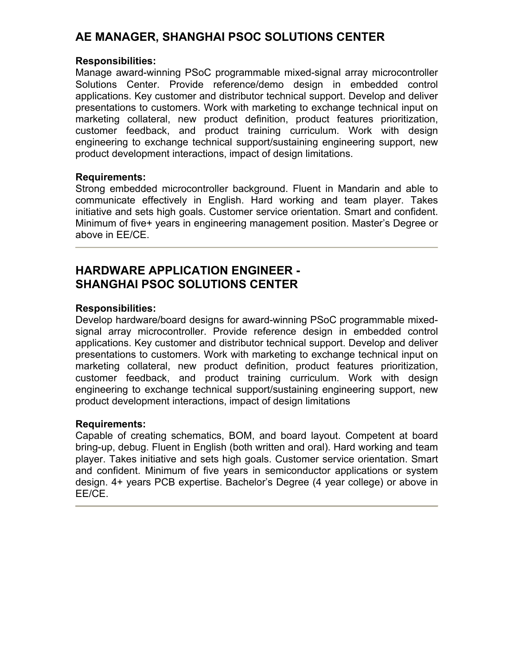## **AE MANAGER, SHANGHAI PSOC SOLUTIONS CENTER**

#### **Responsibilities:**

Manage award-winning PSoC programmable mixed-signal array microcontroller Solutions Center. Provide reference/demo design in embedded control applications. Key customer and distributor technical support. Develop and deliver presentations to customers. Work with marketing to exchange technical input on marketing collateral, new product definition, product features prioritization, customer feedback, and product training curriculum. Work with design engineering to exchange technical support/sustaining engineering support, new product development interactions, impact of design limitations.

### **Requirements:**

Strong embedded microcontroller background. Fluent in Mandarin and able to communicate effectively in English. Hard working and team player. Takes initiative and sets high goals. Customer service orientation. Smart and confident. Minimum of five+ years in engineering management position. Master's Degree or above in EE/CE.

## **HARDWARE APPLICATION ENGINEER - SHANGHAI PSOC SOLUTIONS CENTER**

### **Responsibilities:**

Develop hardware/board designs for award-winning PSoC programmable mixedsignal array microcontroller. Provide reference design in embedded control applications. Key customer and distributor technical support. Develop and deliver presentations to customers. Work with marketing to exchange technical input on marketing collateral, new product definition, product features prioritization, customer feedback, and product training curriculum. Work with design engineering to exchange technical support/sustaining engineering support, new product development interactions, impact of design limitations

### **Requirements:**

Capable of creating schematics, BOM, and board layout. Competent at board bring-up, debug. Fluent in English (both written and oral). Hard working and team player. Takes initiative and sets high goals. Customer service orientation. Smart and confident. Minimum of five years in semiconductor applications or system design. 4+ years PCB expertise. Bachelor's Degree (4 year college) or above in EE/CE.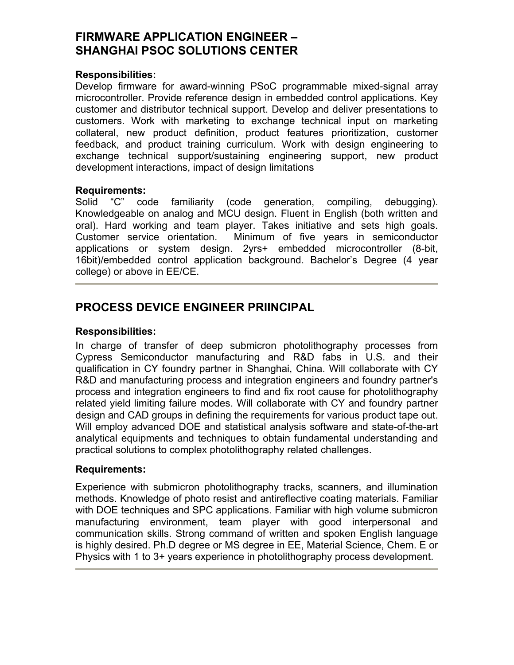## **FIRMWARE APPLICATION ENGINEER – SHANGHAI PSOC SOLUTIONS CENTER**

#### **Responsibilities:**

Develop firmware for award-winning PSoC programmable mixed-signal array microcontroller. Provide reference design in embedded control applications. Key customer and distributor technical support. Develop and deliver presentations to customers. Work with marketing to exchange technical input on marketing collateral, new product definition, product features prioritization, customer feedback, and product training curriculum. Work with design engineering to exchange technical support/sustaining engineering support, new product development interactions, impact of design limitations

#### **Requirements:**

Solid "C" code familiarity (code generation, compiling, debugging). Knowledgeable on analog and MCU design. Fluent in English (both written and oral). Hard working and team player. Takes initiative and sets high goals. Customer service orientation. Minimum of five years in semiconductor applications or system design. 2yrs+ embedded microcontroller (8-bit, 16bit)/embedded control application background. Bachelor's Degree (4 year college) or above in EE/CE.

## **PROCESS DEVICE ENGINEER PRIINCIPAL**

#### **Responsibilities:**

In charge of transfer of deep submicron photolithography processes from Cypress Semiconductor manufacturing and R&D fabs in U.S. and their qualification in CY foundry partner in Shanghai, China. Will collaborate with CY R&D and manufacturing process and integration engineers and foundry partner's process and integration engineers to find and fix root cause for photolithography related yield limiting failure modes. Will collaborate with CY and foundry partner design and CAD groups in defining the requirements for various product tape out. Will employ advanced DOE and statistical analysis software and state-of-the-art analytical equipments and techniques to obtain fundamental understanding and practical solutions to complex photolithography related challenges.

#### **Requirements:**

Experience with submicron photolithography tracks, scanners, and illumination methods. Knowledge of photo resist and antireflective coating materials. Familiar with DOE techniques and SPC applications. Familiar with high volume submicron manufacturing environment, team player with good interpersonal and communication skills. Strong command of written and spoken English language is highly desired. Ph.D degree or MS degree in EE, Material Science, Chem. E or Physics with 1 to 3+ years experience in photolithography process development.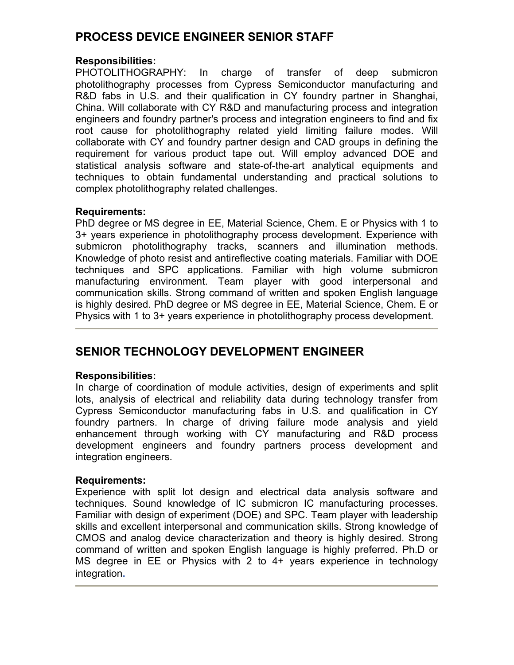## **PROCESS DEVICE ENGINEER SENIOR STAFF**

## **Responsibilities:**

PHOTOLITHOGRAPHY: In charge of transfer of deep submicron photolithography processes from Cypress Semiconductor manufacturing and R&D fabs in U.S. and their qualification in CY foundry partner in Shanghai, China. Will collaborate with CY R&D and manufacturing process and integration engineers and foundry partner's process and integration engineers to find and fix root cause for photolithography related yield limiting failure modes. Will collaborate with CY and foundry partner design and CAD groups in defining the requirement for various product tape out. Will employ advanced DOE and statistical analysis software and state-of-the-art analytical equipments and techniques to obtain fundamental understanding and practical solutions to complex photolithography related challenges.

### **Requirements:**

PhD degree or MS degree in EE, Material Science, Chem. E or Physics with 1 to 3+ years experience in photolithography process development. Experience with submicron photolithography tracks, scanners and illumination methods. Knowledge of photo resist and antireflective coating materials. Familiar with DOE techniques and SPC applications. Familiar with high volume submicron manufacturing environment. Team player with good interpersonal and communication skills. Strong command of written and spoken English language is highly desired. PhD degree or MS degree in EE, Material Science, Chem. E or Physics with 1 to 3+ years experience in photolithography process development.

# **SENIOR TECHNOLOGY DEVELOPMENT ENGINEER**

## **Responsibilities:**

In charge of coordination of module activities, design of experiments and split lots, analysis of electrical and reliability data during technology transfer from Cypress Semiconductor manufacturing fabs in U.S. and qualification in CY foundry partners. In charge of driving failure mode analysis and yield enhancement through working with CY manufacturing and R&D process development engineers and foundry partners process development and integration engineers.

### **Requirements:**

Experience with split lot design and electrical data analysis software and techniques. Sound knowledge of IC submicron IC manufacturing processes. Familiar with design of experiment (DOE) and SPC. Team player with leadership skills and excellent interpersonal and communication skills. Strong knowledge of CMOS and analog device characterization and theory is highly desired. Strong command of written and spoken English language is highly preferred. Ph.D or MS degree in EE or Physics with 2 to 4+ years experience in technology integration.